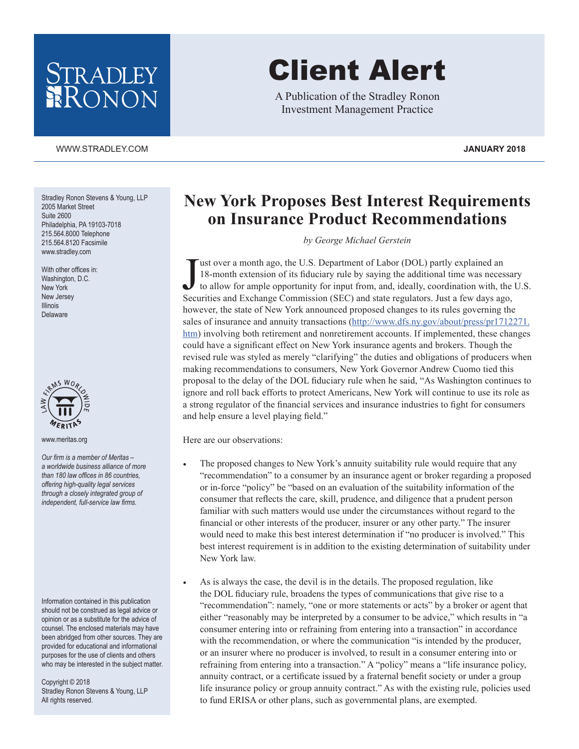## STRADLEY RONON

## [WWW.STRADLEY.COM](www.stradley.com) **JANUARY 2018**

Stradley Ronon Stevens & Young, LLP 2005 Market Street Suite 2600 Philadelphia, PA 19103-7018 215.564.8000 Telephone 215.564.8120 Facsimile [www.stradley.com](http://www.stradley.com)

With other offices in: Washington, D.C. New York New Jersey Illinois Delaware



[www.meritas.org](http://www.meritas.org)

*Our firm is a member of Meritas – a worldwide business alliance of more than 180 law offices in 86 countries, offering high-quality legal services through a closely integrated group of independent, full-service law firms.*

Information contained in this publication should not be construed as legal advice or opinion or as a substitute for the advice of counsel. The enclosed materials may have been abridged from other sources. They are provided for educational and informational purposes for the use of clients and others who may be interested in the subject matter.

Copyright © 2018 Stradley Ronon Stevens & Young, LLP All rights reserved.

## Client Alert

A Publication of the Stradley Ronon Investment Management Practice

## **New York Proposes Best Interest Requirements on Insurance Product Recommendations**

*by George Michael Gerstein*

Just over a month ago, the U.S. Department of Labor (DOL) partly explained an 18-month extension of its fiduciary rule by saying the additional time was necessa to allow for ample opportunity for input from, and, ideally, ust over a month ago, the U.S. Department of Labor (DOL) partly explained an 18-month extension of its fiduciary rule by saying the additional time was necessary to allow for ample opportunity for input from, and, ideally, coordination with, the U.S. however, the state of New York announced proposed changes to its rules governing the sales of insurance and annuity transactions ([http://www.dfs.ny.gov/about/press/pr1712271.](http://www.dfs.ny.gov/about/press/pr1712271.htm) [htm](http://www.dfs.ny.gov/about/press/pr1712271.htm)) involving both retirement and nonretirement accounts. If implemented, these changes could have a significant effect on New York insurance agents and brokers. Though the revised rule was styled as merely "clarifying" the duties and obligations of producers when making recommendations to consumers, New York Governor Andrew Cuomo tied this proposal to the delay of the DOL fiduciary rule when he said, "As Washington continues to ignore and roll back efforts to protect Americans, New York will continue to use its role as a strong regulator of the financial services and insurance industries to fight for consumers and help ensure a level playing field."

Here are our observations:

- The proposed changes to New York's annuity suitability rule would require that any "recommendation" to a consumer by an insurance agent or broker regarding a proposed or in-force "policy" be "based on an evaluation of the suitability information of the consumer that reflects the care, skill, prudence, and diligence that a prudent person familiar with such matters would use under the circumstances without regard to the financial or other interests of the producer, insurer or any other party." The insurer would need to make this best interest determination if "no producer is involved." This best interest requirement is in addition to the existing determination of suitability under New York law.
- As is always the case, the devil is in the details. The proposed regulation, like the DOL fiduciary rule, broadens the types of communications that give rise to a "recommendation": namely, "one or more statements or acts" by a broker or agent that either "reasonably may be interpreted by a consumer to be advice," which results in "a consumer entering into or refraining from entering into a transaction" in accordance with the recommendation, or where the communication "is intended by the producer, or an insurer where no producer is involved, to result in a consumer entering into or refraining from entering into a transaction." A "policy" means a "life insurance policy, annuity contract, or a certificate issued by a fraternal benefit society or under a group life insurance policy or group annuity contract." As with the existing rule, policies used to fund ERISA or other plans, such as governmental plans, are exempted.